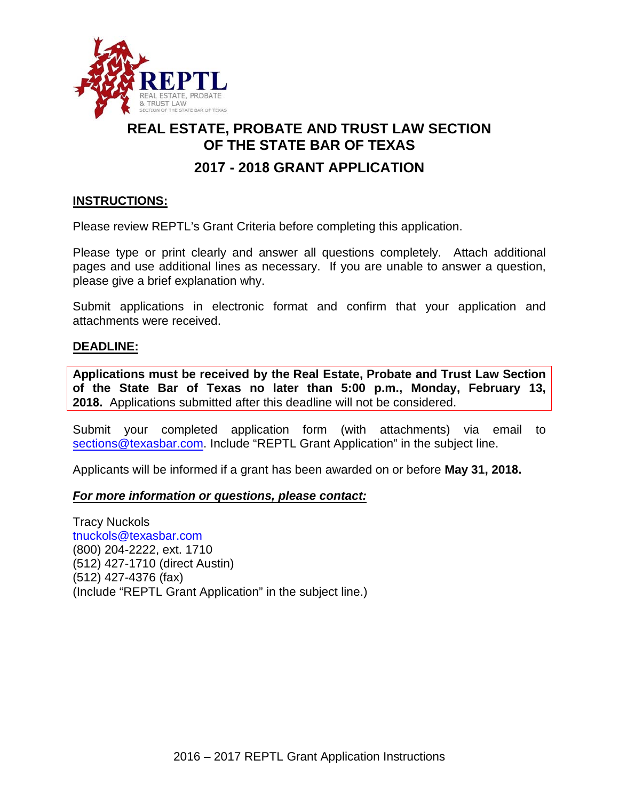

# **REAL ESTATE, PROBATE AND TRUST LAW SECTION OF THE STATE BAR OF TEXAS**

# **2017 - 2018 GRANT APPLICATION**

### **INSTRUCTIONS:**

Please review REPTL's Grant Criteria before completing this application.

Please type or print clearly and answer all questions completely. Attach additional pages and use additional lines as necessary. If you are unable to answer a question, please give a brief explanation why.

Submit applications in electronic format and confirm that your application and attachments were received.

#### **DEADLINE:**

**Applications must be received by the Real Estate, Probate and Trust Law Section of the State Bar of Texas no later than 5:00 p.m., Monday, February 13, 2018.** Applications submitted after this deadline will not be considered.

Submit your completed application form (with attachments) via email to [sections@texasbar.com.](mailto:sections@texasbar.com) Include "REPTL Grant Application" in the subject line.

Applicants will be informed if a grant has been awarded on or before **May 31, 2018.**

#### *For more information or questions, please contact:*

Tracy Nuckols [tnuckols@texasbar.com](mailto:tnuckols@texasbar.com) (800) 204-2222, ext. 1710 (512) 427-1710 (direct Austin) (512) 427-4376 (fax) (Include "REPTL Grant Application" in the subject line.)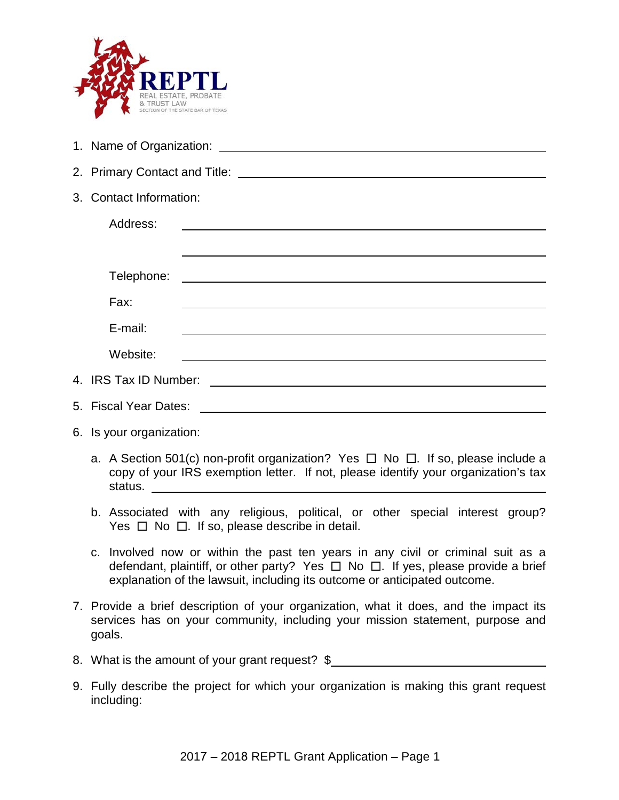

- 1. Name of Organization:
- 2. Primary Contact and Title:
- 3. Contact Information:

| Address:              |  |
|-----------------------|--|
|                       |  |
| Telephone:            |  |
| Fax:                  |  |
| E-mail:               |  |
| Website:              |  |
| 4. IRS Tax ID Number: |  |
| 5. Fiscal Year Dates: |  |

- 6. Is your organization:
	- a. A Section 501(c) non-profit organization? Yes  $\Box$  No  $\Box$ . If so, please include a copy of your IRS exemption letter. If not, please identify your organization's tax status.
	- b. Associated with any religious, political, or other special interest group? Yes  $\Box$  No  $\Box$ . If so, please describe in detail.
	- c. Involved now or within the past ten years in any civil or criminal suit as a defendant, plaintiff, or other party? Yes  $\Box$  No  $\Box$ . If yes, please provide a brief explanation of the lawsuit, including its outcome or anticipated outcome.
- 7. Provide a brief description of your organization, what it does, and the impact its services has on your community, including your mission statement, purpose and goals.
- 8. What is the amount of your grant request? \$\_\_\_\_\_\_\_\_\_\_\_\_\_\_\_\_\_\_\_\_\_\_\_\_\_\_\_\_\_\_\_\_\_\_
- 9. Fully describe the project for which your organization is making this grant request including: